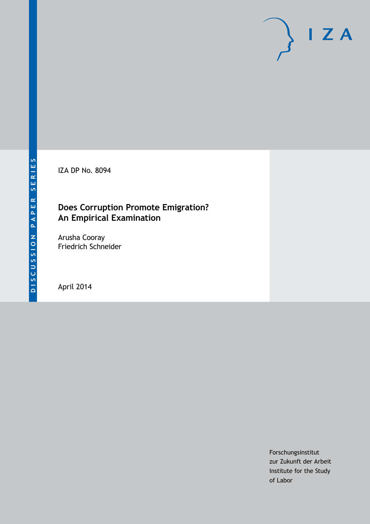IZA DP No. 8094

## **Does Corruption Promote Emigration? An Empirical Examination**

Arusha Cooray Friedrich Schneider

April 2014

Forschungsinstitut zur Zukunft der Arbeit Institute for the Study of Labor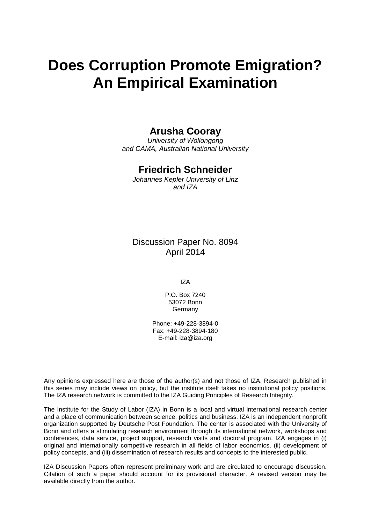# **Does Corruption Promote Emigration? An Empirical Examination**

## **Arusha Cooray**

*University of Wollongong and CAMA, Australian National University*

## **Friedrich Schneider**

*Johannes Kepler University of Linz and IZA*

Discussion Paper No. 8094 April 2014

IZA

P.O. Box 7240 53072 Bonn **Germany** 

Phone: +49-228-3894-0 Fax: +49-228-3894-180 E-mail: [iza@iza.org](mailto:iza@iza.org)

Any opinions expressed here are those of the author(s) and not those of IZA. Research published in this series may include views on policy, but the institute itself takes no institutional policy positions. The IZA research network is committed to the IZA Guiding Principles of Research Integrity.

The Institute for the Study of Labor (IZA) in Bonn is a local and virtual international research center and a place of communication between science, politics and business. IZA is an independent nonprofit organization supported by Deutsche Post Foundation. The center is associated with the University of Bonn and offers a stimulating research environment through its international network, workshops and conferences, data service, project support, research visits and doctoral program. IZA engages in (i) original and internationally competitive research in all fields of labor economics, (ii) development of policy concepts, and (iii) dissemination of research results and concepts to the interested public.

IZA Discussion Papers often represent preliminary work and are circulated to encourage discussion. Citation of such a paper should account for its provisional character. A revised version may be available directly from the author.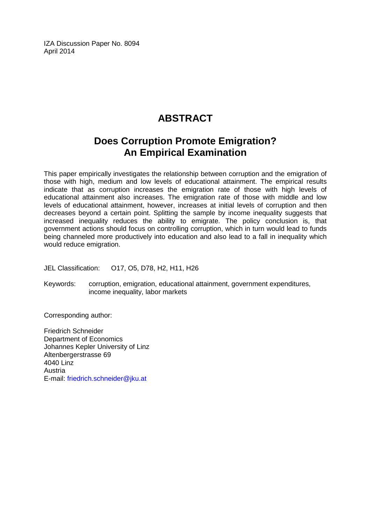IZA Discussion Paper No. 8094 April 2014

## **ABSTRACT**

## **Does Corruption Promote Emigration? An Empirical Examination**

This paper empirically investigates the relationship between corruption and the emigration of those with high, medium and low levels of educational attainment. The empirical results indicate that as corruption increases the emigration rate of those with high levels of educational attainment also increases. The emigration rate of those with middle and low levels of educational attainment, however, increases at initial levels of corruption and then decreases beyond a certain point. Splitting the sample by income inequality suggests that increased inequality reduces the ability to emigrate. The policy conclusion is, that government actions should focus on controlling corruption, which in turn would lead to funds being channeled more productively into education and also lead to a fall in inequality which would reduce emigration.

JEL Classification: O17, O5, D78, H2, H11, H26

Keywords: corruption, emigration, educational attainment, government expenditures, income inequality, labor markets

Corresponding author:

Friedrich Schneider Department of Economics Johannes Kepler University of Linz Altenbergerstrasse 69 4040 Linz Austria E-mail: [friedrich.schneider@jku.at](mailto:friedrich.schneider@jku.at)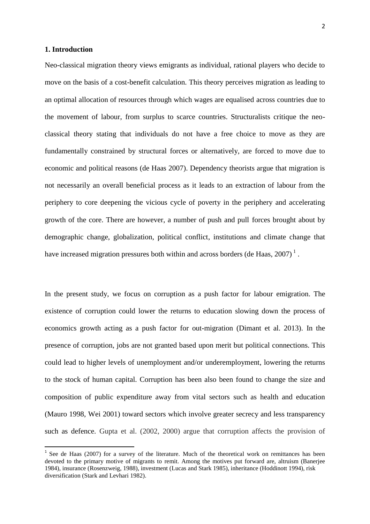#### **1. Introduction**

**.** 

Neo-classical migration theory views emigrants as individual, rational players who decide to move on the basis of a cost-benefit calculation. This theory perceives migration as leading to an optimal allocation of resources through which wages are equalised across countries due to the movement of labour, from surplus to scarce countries. Structuralists critique the neoclassical theory stating that individuals do not have a free choice to move as they are fundamentally constrained by structural forces or alternatively, are forced to move due to economic and political reasons (de Haas 2007). Dependency theorists argue that migration is not necessarily an overall beneficial process as it leads to an extraction of labour from the periphery to core deepening the vicious cycle of poverty in the periphery and accelerating growth of the core. There are however, a number of push and pull forces brought about by demographic change, globalization, political conflict, institutions and climate change that have increased migration pressures both within and across borders (de Haas,  $2007$ )<sup>1</sup>.

In the present study, we focus on corruption as a push factor for labour emigration. The existence of corruption could lower the returns to education slowing down the process of economics growth acting as a push factor for out-migration (Dimant et al. 2013). In the presence of corruption, jobs are not granted based upon merit but political connections. This could lead to higher levels of unemployment and/or underemployment, lowering the returns to the stock of human capital. Corruption has been also been found to change the size and composition of public expenditure away from vital sectors such as health and education (Mauro 1998, Wei 2001) toward sectors which involve greater secrecy and less transparency such as defence. Gupta et al. (2002, 2000) argue that corruption affects the provision of

 $1$  See de Haas (2007) for a survey of the literature. Much of the theoretical work on remittances has been devoted to the primary motive of migrants to remit. Among the motives put forward are, altruism (Banerjee 1984), insurance (Rosenzweig, 1988), investment (Lucas and Stark 1985), inheritance (Hoddinott 1994), risk diversification (Stark and Levhari 1982).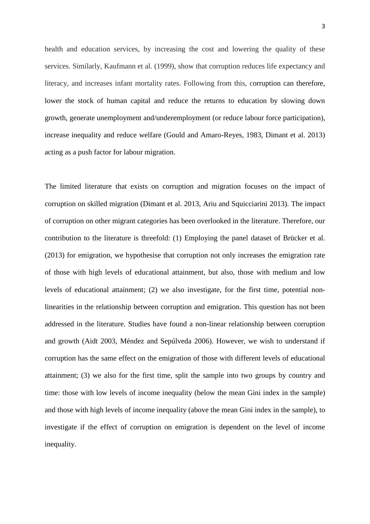health and education services, by increasing the cost and lowering the quality of these services. Similarly, Kaufmann et al. (1999), show that corruption reduces life expectancy and literacy, and increases infant mortality rates. Following from this, corruption can therefore, lower the stock of human capital and reduce the returns to education by slowing down growth, generate unemployment and/underemployment (or reduce labour force participation), increase inequality and reduce welfare (Gould and Amaro-Reyes, 1983, Dimant et al. 2013) acting as a push factor for labour migration.

The limited literature that exists on corruption and migration focuses on the impact of corruption on skilled migration (Dimant et al. 2013, Ariu and Squicciarini 2013). The impact of corruption on other migrant categories has been overlooked in the literature. Therefore, our contribution to the literature is threefold: (1) Employing the panel dataset of Brücker et al. (2013) for emigration, we hypothesise that corruption not only increases the emigration rate of those with high levels of educational attainment, but also, those with medium and low levels of educational attainment; (2) we also investigate, for the first time, potential nonlinearities in the relationship between corruption and emigration. This question has not been addressed in the literature. Studies have found a non-linear relationship between corruption and growth (Aidt 2003, Méndez and Sepúlveda 2006). However, we wish to understand if corruption has the same effect on the emigration of those with different levels of educational attainment; (3) we also for the first time, split the sample into two groups by country and time: those with low levels of income inequality (below the mean Gini index in the sample) and those with high levels of income inequality (above the mean Gini index in the sample), to investigate if the effect of corruption on emigration is dependent on the level of income inequality.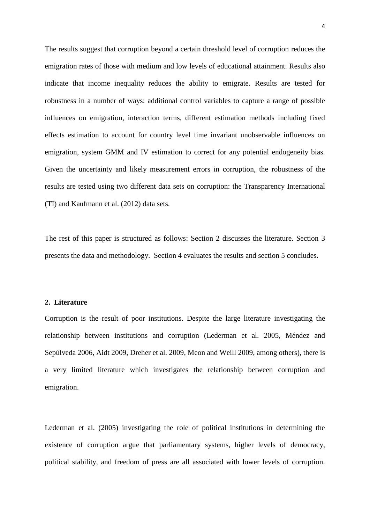The results suggest that corruption beyond a certain threshold level of corruption reduces the emigration rates of those with medium and low levels of educational attainment. Results also indicate that income inequality reduces the ability to emigrate. Results are tested for robustness in a number of ways: additional control variables to capture a range of possible influences on emigration, interaction terms, different estimation methods including fixed effects estimation to account for country level time invariant unobservable influences on emigration, system GMM and IV estimation to correct for any potential endogeneity bias. Given the uncertainty and likely measurement errors in corruption, the robustness of the results are tested using two different data sets on corruption: the Transparency International (TI) and Kaufmann et al. (2012) data sets.

The rest of this paper is structured as follows: Section 2 discusses the literature. Section 3 presents the data and methodology. Section 4 evaluates the results and section 5 concludes.

#### **2. Literature**

Corruption is the result of poor institutions. Despite the large literature investigating the relationship between institutions and corruption (Lederman et al. 2005, Méndez and Sepúlveda 2006, Aidt 2009, Dreher et al. 2009, Meon and Weill 2009, among others), there is a very limited literature which investigates the relationship between corruption and emigration.

Lederman et al. (2005) investigating the role of political institutions in determining the existence of corruption argue that parliamentary systems, higher levels of democracy, political stability, and freedom of press are all associated with lower levels of corruption.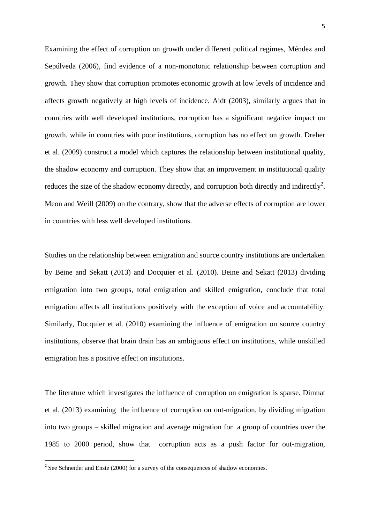Examining the effect of corruption on growth under different political regimes, Méndez and Sepúlveda (2006), find evidence of a non-monotonic relationship between corruption and growth. They show that corruption promotes economic growth at low levels of incidence and affects growth negatively at high levels of incidence. Aidt (2003), similarly argues that in countries with well developed institutions, corruption has a significant negative impact on growth, while in countries with poor institutions, corruption has no effect on growth. Dreher et al. (2009) construct a model which captures the relationship between institutional quality, the shadow economy and corruption. They show that an improvement in institutional quality reduces the size of the shadow economy directly, and corruption both directly and indirectly<sup>2</sup>. Meon and Weill (2009) on the contrary, show that the adverse effects of corruption are lower in countries with less well developed institutions.

Studies on the relationship between emigration and source country institutions are undertaken by Beine and Sekatt (2013) and Docquier et al. (2010). Beine and Sekatt (2013) dividing emigration into two groups, total emigration and skilled emigration, conclude that total emigration affects all institutions positively with the exception of voice and accountability. Similarly, Docquier et al. (2010) examining the influence of emigration on source country institutions, observe that brain drain has an ambiguous effect on institutions, while unskilled emigration has a positive effect on institutions.

The literature which investigates the influence of corruption on emigration is sparse. Dimnat et al. (2013) examining the influence of corruption on out-migration, by dividing migration into two groups – skilled migration and average migration for a group of countries over the 1985 to 2000 period, show that corruption acts as a push factor for out-migration,

<sup>&</sup>lt;sup>2</sup> See Schneider and Enste (2000) for a survey of the consequences of shadow economies.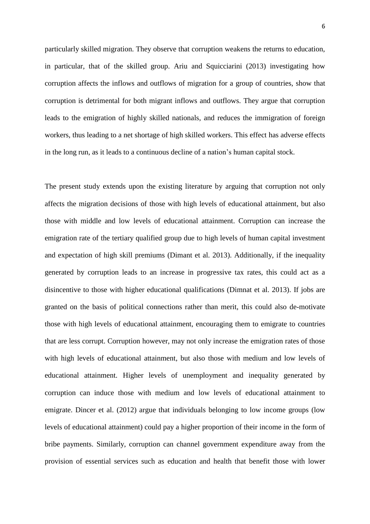particularly skilled migration. They observe that corruption weakens the returns to education, in particular, that of the skilled group. Ariu and Squicciarini (2013) investigating how corruption affects the inflows and outflows of migration for a group of countries, show that corruption is detrimental for both migrant inflows and outflows. They argue that corruption leads to the emigration of highly skilled nationals, and reduces the immigration of foreign workers, thus leading to a net shortage of high skilled workers. This effect has adverse effects in the long run, as it leads to a continuous decline of a nation's human capital stock.

The present study extends upon the existing literature by arguing that corruption not only affects the migration decisions of those with high levels of educational attainment, but also those with middle and low levels of educational attainment. Corruption can increase the emigration rate of the tertiary qualified group due to high levels of human capital investment and expectation of high skill premiums (Dimant et al. 2013). Additionally, if the inequality generated by corruption leads to an increase in progressive tax rates, this could act as a disincentive to those with higher educational qualifications (Dimnat et al. 2013). If jobs are granted on the basis of political connections rather than merit, this could also de-motivate those with high levels of educational attainment, encouraging them to emigrate to countries that are less corrupt. Corruption however, may not only increase the emigration rates of those with high levels of educational attainment, but also those with medium and low levels of educational attainment. Higher levels of unemployment and inequality generated by corruption can induce those with medium and low levels of educational attainment to emigrate. Dincer et al. (2012) argue that individuals belonging to low income groups (low levels of educational attainment) could pay a higher proportion of their income in the form of bribe payments. Similarly, corruption can channel government expenditure away from the provision of essential services such as education and health that benefit those with lower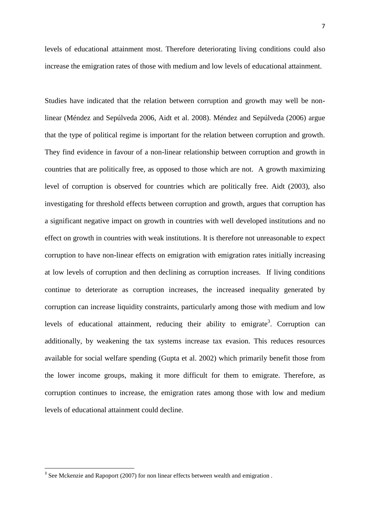levels of educational attainment most. Therefore deteriorating living conditions could also increase the emigration rates of those with medium and low levels of educational attainment.

Studies have indicated that the relation between corruption and growth may well be nonlinear (Méndez and Sepúlveda 2006, Aidt et al. 2008). Méndez and Sepúlveda (2006) argue that the type of political regime is important for the relation between corruption and growth. They find evidence in favour of a non-linear relationship between corruption and growth in countries that are politically free, as opposed to those which are not. A growth maximizing level of corruption is observed for countries which are politically free. Aidt (2003), also investigating for threshold effects between corruption and growth, argues that corruption has a significant negative impact on growth in countries with well developed institutions and no effect on growth in countries with weak institutions. It is therefore not unreasonable to expect corruption to have non-linear effects on emigration with emigration rates initially increasing at low levels of corruption and then declining as corruption increases. If living conditions continue to deteriorate as corruption increases, the increased inequality generated by corruption can increase liquidity constraints, particularly among those with medium and low levels of educational attainment, reducing their ability to emigrate<sup>3</sup>. Corruption can additionally, by weakening the tax systems increase tax evasion. This reduces resources available for social welfare spending (Gupta et al. 2002) which primarily benefit those from the lower income groups, making it more difficult for them to emigrate. Therefore, as corruption continues to increase, the emigration rates among those with low and medium levels of educational attainment could decline.

**.** 

 $3$  See Mckenzie and Rapoport (2007) for non linear effects between wealth and emigration.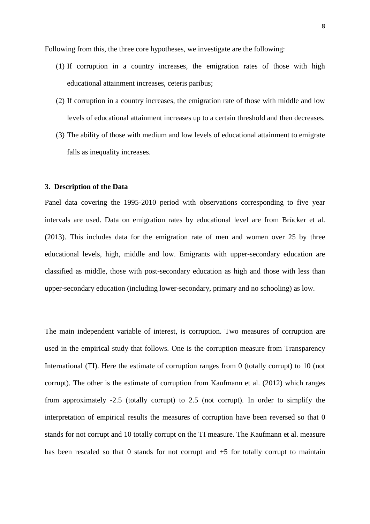Following from this, the three core hypotheses, we investigate are the following:

- (1) If corruption in a country increases, the emigration rates of those with high educational attainment increases, ceteris paribus;
- (2) If corruption in a country increases, the emigration rate of those with middle and low levels of educational attainment increases up to a certain threshold and then decreases.
- (3) The ability of those with medium and low levels of educational attainment to emigrate falls as inequality increases.

### **3. Description of the Data**

Panel data covering the 1995-2010 period with observations corresponding to five year intervals are used. Data on emigration rates by educational level are from Brücker et al. (2013). This includes data for the emigration rate of men and women over 25 by three educational levels, high, middle and low. Emigrants with upper-secondary education are classified as middle, those with post-secondary education as high and those with less than upper-secondary education (including lower-secondary, primary and no schooling) as low.

The main independent variable of interest, is corruption. Two measures of corruption are used in the empirical study that follows. One is the corruption measure from Transparency International (TI). Here the estimate of corruption ranges from 0 (totally corrupt) to 10 (not corrupt). The other is the estimate of corruption from Kaufmann et al. (2012) which ranges from approximately -2.5 (totally corrupt) to 2.5 (not corrupt). In order to simplify the interpretation of empirical results the measures of corruption have been reversed so that 0 stands for not corrupt and 10 totally corrupt on the TI measure. The Kaufmann et al. measure has been rescaled so that 0 stands for not corrupt and  $+5$  for totally corrupt to maintain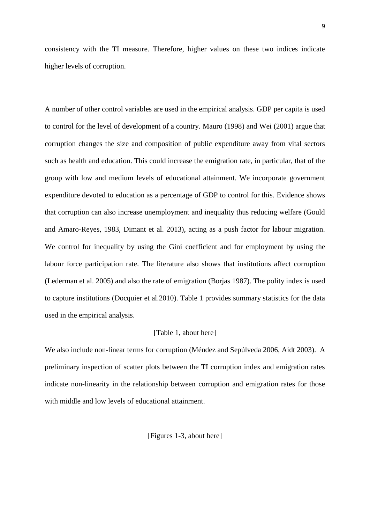consistency with the TI measure. Therefore, higher values on these two indices indicate higher levels of corruption.

A number of other control variables are used in the empirical analysis. GDP per capita is used to control for the level of development of a country. Mauro (1998) and Wei (2001) argue that corruption changes the size and composition of public expenditure away from vital sectors such as health and education. This could increase the emigration rate, in particular, that of the group with low and medium levels of educational attainment. We incorporate government expenditure devoted to education as a percentage of GDP to control for this. Evidence shows that corruption can also increase unemployment and inequality thus reducing welfare (Gould and Amaro-Reyes, 1983, Dimant et al. 2013), acting as a push factor for labour migration. We control for inequality by using the Gini coefficient and for employment by using the labour force participation rate. The literature also shows that institutions affect corruption (Lederman et al. 2005) and also the rate of emigration (Borjas 1987). The polity index is used to capture institutions (Docquier et al.2010). Table 1 provides summary statistics for the data used in the empirical analysis.

#### [Table 1, about here]

We also include non-linear terms for corruption (Méndez and Sepúlveda 2006, Aidt 2003). A preliminary inspection of scatter plots between the TI corruption index and emigration rates indicate non-linearity in the relationship between corruption and emigration rates for those with middle and low levels of educational attainment.

[Figures 1-3, about here]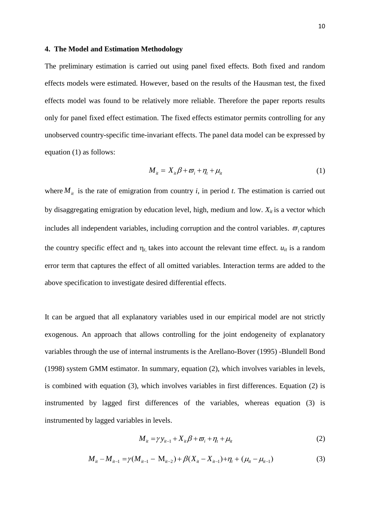#### **4. The Model and Estimation Methodology**

The preliminary estimation is carried out using panel fixed effects. Both fixed and random effects models were estimated. However, based on the results of the Hausman test, the fixed effects model was found to be relatively more reliable. Therefore the paper reports results only for panel fixed effect estimation. The fixed effects estimator permits controlling for any unobserved country-specific time-invariant effects. The panel data model can be expressed by equation (1) as follows:

$$
M_{it} = X_{it}\beta + \varpi_i + \eta_t + \mu_{it}
$$
 (1)

where  $M_{it}$  is the rate of emigration from country *i*, in period *t*. The estimation is carried out by disaggregating emigration by education level, high, medium and low.  $X_{it}$  is a vector which includes all independent variables, including corruption and the control variables.  $\varpi$ <sub>i</sub> captures the country specific effect and  $\eta_t$ , takes into account the relevant time effect.  $u_{it}$  is a random error term that captures the effect of all omitted variables. Interaction terms are added to the above specification to investigate desired differential effects.

It can be argued that all explanatory variables used in our empirical model are not strictly exogenous. An approach that allows controlling for the joint endogeneity of explanatory variables through the use of internal instruments is the Arellano-Bover (1995) -Blundell Bond (1998) system GMM estimator. In summary, equation (2), which involves variables in levels, is combined with equation (3), which involves variables in first differences. Equation (2) is instrumented by lagged first differences of the variables, whereas equation (3) is instrumented by lagged variables in levels.

$$
M_{ii} = \gamma y_{it-1} + X_{it}\beta + \varpi_i + \eta_t + \mu_{it}
$$
\n(2)

$$
M_{it} = \gamma y_{it-1} + X_{it}\beta + \varpi_i + \mu_{it}
$$
  
(2)  

$$
M_{it} - M_{it-1} = \gamma (M_{it-1} - M_{it-2}) + \beta (X_{it} - X_{it-1}) + \eta_t + (\mu_{it} - \mu_{it-1})
$$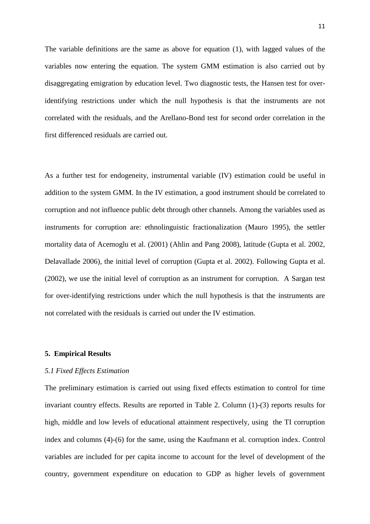The variable definitions are the same as above for equation (1), with lagged values of the variables now entering the equation. The system GMM estimation is also carried out by disaggregating emigration by education level. Two diagnostic tests, the Hansen test for overidentifying restrictions under which the null hypothesis is that the instruments are not correlated with the residuals, and the Arellano-Bond test for second order correlation in the first differenced residuals are carried out.

As a further test for endogeneity, instrumental variable (IV) estimation could be useful in addition to the system GMM. In the IV estimation, a good instrument should be correlated to corruption and not influence public debt through other channels. Among the variables used as instruments for corruption are: ethnolinguistic fractionalization (Mauro 1995), the settler mortality data of Acemoglu et al. (2001) (Ahlin and Pang 2008), latitude (Gupta et al. 2002, Delavallade 2006), the initial level of corruption (Gupta et al. 2002). Following Gupta et al. (2002), we use the initial level of corruption as an instrument for corruption. A Sargan test for over-identifying restrictions under which the null hypothesis is that the instruments are not correlated with the residuals is carried out under the IV estimation.

#### **5. Empirical Results**

#### *5.1 Fixed Effects Estimation*

The preliminary estimation is carried out using fixed effects estimation to control for time invariant country effects. Results are reported in Table 2. Column (1)-(3) reports results for high, middle and low levels of educational attainment respectively, using the TI corruption index and columns (4)-(6) for the same, using the Kaufmann et al. corruption index. Control variables are included for per capita income to account for the level of development of the country, government expenditure on education to GDP as higher levels of government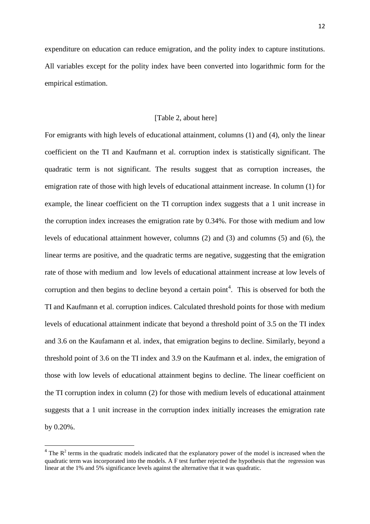expenditure on education can reduce emigration, and the polity index to capture institutions. All variables except for the polity index have been converted into logarithmic form for the empirical estimation.

#### [Table 2, about here]

For emigrants with high levels of educational attainment, columns (1) and (4), only the linear coefficient on the TI and Kaufmann et al. corruption index is statistically significant. The quadratic term is not significant. The results suggest that as corruption increases, the emigration rate of those with high levels of educational attainment increase. In column (1) for example, the linear coefficient on the TI corruption index suggests that a 1 unit increase in the corruption index increases the emigration rate by 0.34%. For those with medium and low levels of educational attainment however, columns (2) and (3) and columns (5) and (6), the linear terms are positive, and the quadratic terms are negative, suggesting that the emigration rate of those with medium and low levels of educational attainment increase at low levels of corruption and then begins to decline beyond a certain point<sup>4</sup>. This is observed for both the TI and Kaufmann et al. corruption indices. Calculated threshold points for those with medium levels of educational attainment indicate that beyond a threshold point of 3.5 on the TI index and 3.6 on the Kaufamann et al. index, that emigration begins to decline. Similarly, beyond a threshold point of 3.6 on the TI index and 3.9 on the Kaufmann et al. index, the emigration of those with low levels of educational attainment begins to decline. The linear coefficient on the TI corruption index in column (2) for those with medium levels of educational attainment suggests that a 1 unit increase in the corruption index initially increases the emigration rate by 0.20%.

**.** 

 $4$  The  $\mathbb{R}^2$  terms in the quadratic models indicated that the explanatory power of the model is increased when the quadratic term was incorporated into the models. A F test further rejected the hypothesis that the regression was linear at the 1% and 5% significance levels against the alternative that it was quadratic.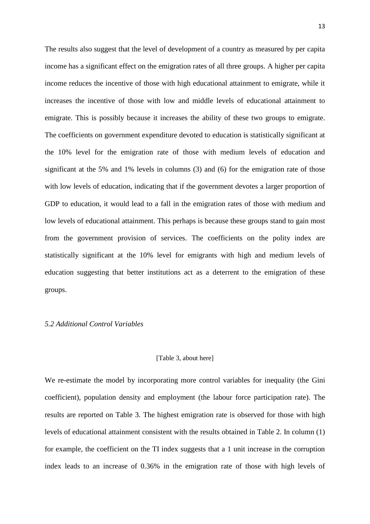The results also suggest that the level of development of a country as measured by per capita income has a significant effect on the emigration rates of all three groups. A higher per capita income reduces the incentive of those with high educational attainment to emigrate, while it increases the incentive of those with low and middle levels of educational attainment to emigrate. This is possibly because it increases the ability of these two groups to emigrate. The coefficients on government expenditure devoted to education is statistically significant at the 10% level for the emigration rate of those with medium levels of education and significant at the 5% and 1% levels in columns (3) and (6) for the emigration rate of those with low levels of education, indicating that if the government devotes a larger proportion of GDP to education, it would lead to a fall in the emigration rates of those with medium and low levels of educational attainment. This perhaps is because these groups stand to gain most from the government provision of services. The coefficients on the polity index are statistically significant at the 10% level for emigrants with high and medium levels of education suggesting that better institutions act as a deterrent to the emigration of these groups.

#### *5.2 Additional Control Variables*

#### [Table 3, about here]

We re-estimate the model by incorporating more control variables for inequality (the Gini coefficient), population density and employment (the labour force participation rate). The results are reported on Table 3. The highest emigration rate is observed for those with high levels of educational attainment consistent with the results obtained in Table 2. In column (1) for example, the coefficient on the TI index suggests that a 1 unit increase in the corruption index leads to an increase of 0.36% in the emigration rate of those with high levels of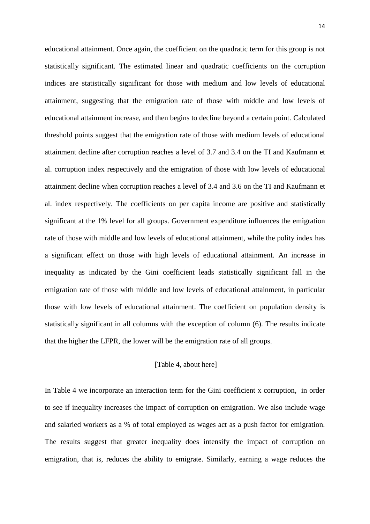educational attainment. Once again, the coefficient on the quadratic term for this group is not statistically significant. The estimated linear and quadratic coefficients on the corruption indices are statistically significant for those with medium and low levels of educational attainment, suggesting that the emigration rate of those with middle and low levels of educational attainment increase, and then begins to decline beyond a certain point. Calculated threshold points suggest that the emigration rate of those with medium levels of educational attainment decline after corruption reaches a level of 3.7 and 3.4 on the TI and Kaufmann et al. corruption index respectively and the emigration of those with low levels of educational attainment decline when corruption reaches a level of 3.4 and 3.6 on the TI and Kaufmann et al. index respectively. The coefficients on per capita income are positive and statistically significant at the 1% level for all groups. Government expenditure influences the emigration rate of those with middle and low levels of educational attainment, while the polity index has a significant effect on those with high levels of educational attainment. An increase in inequality as indicated by the Gini coefficient leads statistically significant fall in the emigration rate of those with middle and low levels of educational attainment, in particular those with low levels of educational attainment. The coefficient on population density is statistically significant in all columns with the exception of column (6). The results indicate that the higher the LFPR, the lower will be the emigration rate of all groups.

#### [Table 4, about here]

In Table 4 we incorporate an interaction term for the Gini coefficient x corruption, in order to see if inequality increases the impact of corruption on emigration. We also include wage and salaried workers as a % of total employed as wages act as a push factor for emigration. The results suggest that greater inequality does intensify the impact of corruption on emigration, that is, reduces the ability to emigrate. Similarly, earning a wage reduces the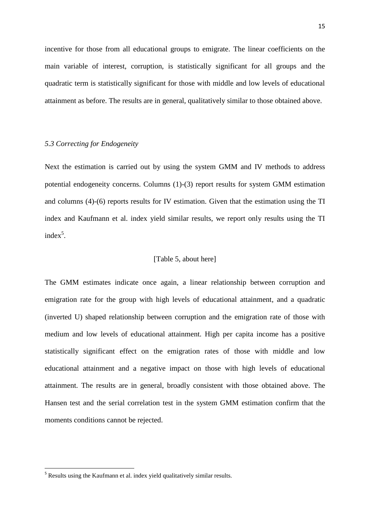incentive for those from all educational groups to emigrate. The linear coefficients on the main variable of interest, corruption, is statistically significant for all groups and the quadratic term is statistically significant for those with middle and low levels of educational attainment as before. The results are in general, qualitatively similar to those obtained above.

#### *5.3 Correcting for Endogeneity*

Next the estimation is carried out by using the system GMM and IV methods to address potential endogeneity concerns. Columns (1)-(3) report results for system GMM estimation and columns (4)-(6) reports results for IV estimation. Given that the estimation using the TI index and Kaufmann et al. index yield similar results, we report only results using the TI  $index^5$ .

#### [Table 5, about here]

The GMM estimates indicate once again, a linear relationship between corruption and emigration rate for the group with high levels of educational attainment, and a quadratic (inverted U) shaped relationship between corruption and the emigration rate of those with medium and low levels of educational attainment. High per capita income has a positive statistically significant effect on the emigration rates of those with middle and low educational attainment and a negative impact on those with high levels of educational attainment. The results are in general, broadly consistent with those obtained above. The Hansen test and the serial correlation test in the system GMM estimation confirm that the moments conditions cannot be rejected.

**.** 

<sup>&</sup>lt;sup>5</sup> Results using the Kaufmann et al. index yield qualitatively similar results.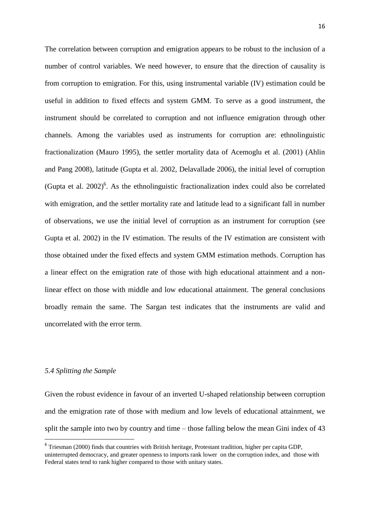The correlation between corruption and emigration appears to be robust to the inclusion of a number of control variables. We need however, to ensure that the direction of causality is from corruption to emigration. For this, using instrumental variable (IV) estimation could be useful in addition to fixed effects and system GMM. To serve as a good instrument, the instrument should be correlated to corruption and not influence emigration through other channels. Among the variables used as instruments for corruption are: ethnolinguistic fractionalization (Mauro 1995), the settler mortality data of Acemoglu et al. (2001) (Ahlin and Pang 2008), latitude (Gupta et al. 2002, Delavallade 2006), the initial level of corruption (Gupta et al.  $2002$ <sup>6</sup>. As the ethnolinguistic fractionalization index could also be correlated with emigration, and the settler mortality rate and latitude lead to a significant fall in number of observations, we use the initial level of corruption as an instrument for corruption (see Gupta et al. 2002) in the IV estimation. The results of the IV estimation are consistent with those obtained under the fixed effects and system GMM estimation methods. Corruption has a linear effect on the emigration rate of those with high educational attainment and a nonlinear effect on those with middle and low educational attainment. The general conclusions broadly remain the same. The Sargan test indicates that the instruments are valid and uncorrelated with the error term.

#### *5.4 Splitting the Sample*

**.** 

Given the robust evidence in favour of an inverted U-shaped relationship between corruption and the emigration rate of those with medium and low levels of educational attainment, we split the sample into two by country and time – those falling below the mean Gini index of 43

<sup>&</sup>lt;sup>6</sup> Triesman (2000) finds that countries with British heritage, Protestant tradition, higher per capita GDP, uninterrupted democracy, and greater openness to imports rank lower on the corruption index, and those with Federal states tend to rank higher compared to those with unitary states.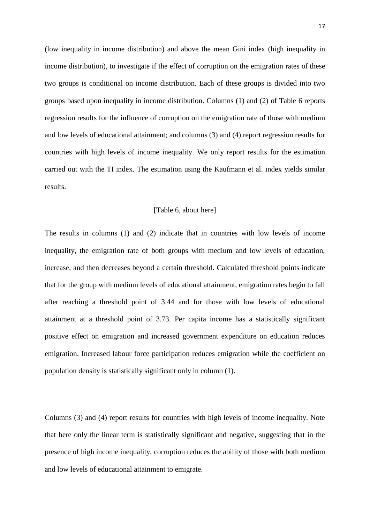(low inequality in income distribution) and above the mean Gini index (high inequality in income distribution), to investigate if the effect of corruption on the emigration rates of these two groups is conditional on income distribution. Each of these groups is divided into two groups based upon inequality in income distribution. Columns (1) and (2) of Table 6 reports regression results for the influence of corruption on the emigration rate of those with medium and low levels of educational attainment; and columns (3) and (4) report regression results for countries with high levels of income inequality. We only report results for the estimation carried out with the TI index. The estimation using the Kaufmann et al. index yields similar results.

#### [Table 6, about here]

The results in columns (1) and (2) indicate that in countries with low levels of income inequality, the emigration rate of both groups with medium and low levels of education, increase, and then decreases beyond a certain threshold. Calculated threshold points indicate that for the group with medium levels of educational attainment, emigration rates begin to fall after reaching a threshold point of 3.44 and for those with low levels of educational attainment at a threshold point of 3.73. Per capita income has a statistically significant positive effect on emigration and increased government expenditure on education reduces emigration. Increased labour force participation reduces emigration while the coefficient on population density is statistically significant only in column (1).

Columns (3) and (4) report results for countries with high levels of income inequality. Note that here only the linear term is statistically significant and negative, suggesting that in the presence of high income inequality, corruption reduces the ability of those with both medium and low levels of educational attainment to emigrate.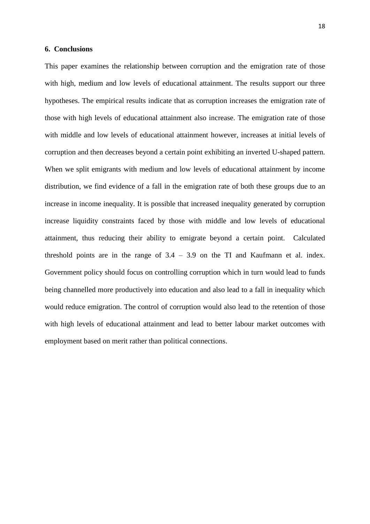#### **6. Conclusions**

This paper examines the relationship between corruption and the emigration rate of those with high, medium and low levels of educational attainment. The results support our three hypotheses. The empirical results indicate that as corruption increases the emigration rate of those with high levels of educational attainment also increase. The emigration rate of those with middle and low levels of educational attainment however, increases at initial levels of corruption and then decreases beyond a certain point exhibiting an inverted U-shaped pattern. When we split emigrants with medium and low levels of educational attainment by income distribution, we find evidence of a fall in the emigration rate of both these groups due to an increase in income inequality. It is possible that increased inequality generated by corruption increase liquidity constraints faced by those with middle and low levels of educational attainment, thus reducing their ability to emigrate beyond a certain point. Calculated threshold points are in the range of  $3.4 - 3.9$  on the TI and Kaufmann et al. index. Government policy should focus on controlling corruption which in turn would lead to funds being channelled more productively into education and also lead to a fall in inequality which would reduce emigration. The control of corruption would also lead to the retention of those with high levels of educational attainment and lead to better labour market outcomes with employment based on merit rather than political connections.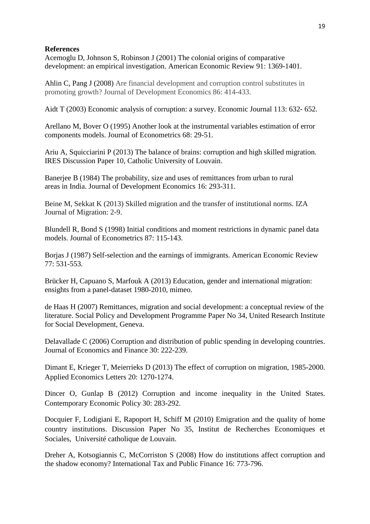### **References**

Acemoglu D, Johnson S, Robinson J (2001) The colonial origins of comparative development: an empirical investigation. American Economic Review 91: 1369-1401.

Ahlin C, Pang J (2008) Are financial development and corruption control substitutes in promoting growth? Journal of Development Economics 86: 414-433.

Aidt T (2003) Economic analysis of corruption: a survey. Economic Journal 113: 632- 652.

Arellano M, Bover O (1995) Another look at the instrumental variables estimation of error components models. Journal of Econometrics 68: 29-51.

Ariu A, Squicciarini P (2013) The balance of brains: corruption and high skilled migration. IRES Discussion Paper 10, Catholic University of Louvain.

Banerjee B (1984) The probability, size and uses of remittances from urban to rural areas in India. Journal of Development Economics 16: 293-311.

Beine M, Sekkat K (2013) Skilled migration and the transfer of institutional norms. IZA Journal of Migration: 2-9.

Blundell R, Bond S (1998) Initial conditions and moment restrictions in dynamic panel data models. Journal of Econometrics 87: 115-143.

Borjas J (1987) Self-selection and the earnings of immigrants. American Economic Review 77: 531-553.

Brücker H, Capuano S, Marfouk A (2013) Education, gender and international migration: ensights from a panel-dataset 1980-2010, mimeo.

de Haas H (2007) Remittances, migration and social development: a conceptual review of the literature. Social Policy and Development Programme Paper No 34, United Research Institute for Social Development, Geneva.

Delavallade C (2006) Corruption and distribution of public spending in developing countries. Journal of Economics and Finance 30: 222-239.

Dimant E, Krieger T, Meierrieks D (2013) The effect of corruption on migration, 1985-2000. Applied Economics Letters 20: 1270-1274.

Dincer O, Gunlap B (2012) Corruption and income inequality in the United States. Contemporary Economic Policy 30: 283-292.

Docquier F, Lodigiani E, Rapoport H, Schiff M (2010) Emigration and the quality of home country institutions. Discussion Paper No 35, Institut de Recherches Economiques et Sociales, Université catholique de Louvain.

Dreher A, Kotsogiannis C, McCorriston S (2008) How do institutions affect corruption and the shadow economy? International Tax and Public Finance 16: 773-796.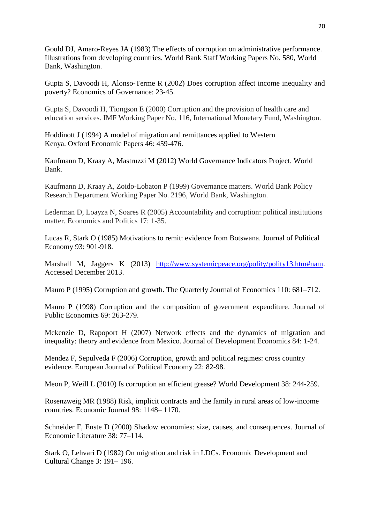Gould DJ, Amaro-Reyes JA (1983) The effects of corruption on administrative performance. Illustrations from developing countries. World Bank Staff Working Papers No. 580, World Bank, Washington.

Gupta S, Davoodi H, Alonso-Terme R (2002) Does corruption affect income inequality and poverty? Economics of Governance: 23-45.

Gupta S, Davoodi H, Tiongson E (2000) Corruption and the provision of health care and education services. IMF Working Paper No. 116, International Monetary Fund, Washington.

Hoddinott J (1994) A model of migration and remittances applied to Western Kenya. Oxford Economic Papers 46: 459-476.

Kaufmann D, Kraay A, Mastruzzi M (2012) World Governance Indicators Project. World Bank.

Kaufmann D, Kraay A, Zoido-Lobaton P (1999) Governance matters. World Bank Policy Research Department Working Paper No. 2196, World Bank, Washington.

Lederman D, Loayza N, Soares R (2005) Accountability and corruption: political institutions matter. Economics and Politics 17: 1-35.

Lucas R, Stark O (1985) Motivations to remit: evidence from Botswana. Journal of Political Economy 93: 901-918.

Marshall M, Jaggers K (2013) [http://www.systemicpeace.org/polity/polity13.htm#nam.](http://www.systemicpeace.org/polity/polity13.htm#nam) Accessed December 2013.

Mauro P (1995) Corruption and growth. The Quarterly Journal of Economics 110: 681–712.

Mauro P (1998) Corruption and the composition of government expenditure. Journal of Public Economics 69: 263-279.

Mckenzie D, Rapoport H (2007) Network effects and the dynamics of migration and inequality: theory and evidence from Mexico. Journal of Development Economics 84: 1-24.

Mendez F, Sepulveda F (2006) Corruption, growth and political regimes: cross country evidence. European Journal of Political Economy 22: 82-98.

Meon P, Weill L (2010) Is corruption an efficient grease? World Development 38: 244-259.

Rosenzweig MR (1988) Risk, implicit contracts and the family in rural areas of low-income countries. Economic Journal 98: 1148– 1170.

Schneider F, Enste D (2000) Shadow economies: size, causes, and consequences. Journal of Economic Literature 38: 77–114.

Stark O, Lehvari D (1982) On migration and risk in LDCs. Economic Development and Cultural Change 3: 191– 196.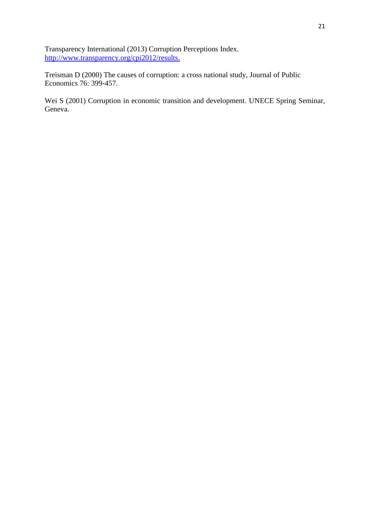Transparency International (2013) Corruption Perceptions Index. [http://www.transparency.org/cpi2012/results.](http://www.transparency.org/cpi2012/results)

Treisman D (2000) The causes of corruption: a cross national study, Journal of Public Economics 76: 399-457.

Wei S (2001) Corruption in economic transition and development. UNECE Spring Seminar, Geneva.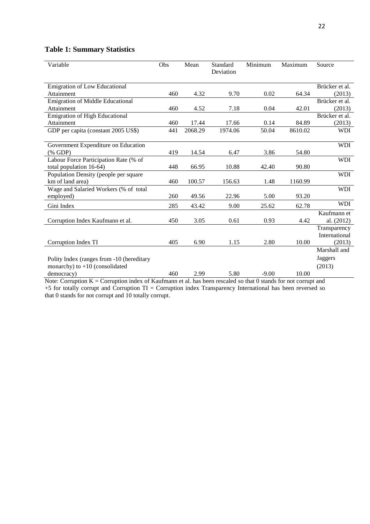## **Table 1: Summary Statistics**

| Variable                                                  | Obs | Mean    | Standard<br>Deviation | Minimum | Maximum | Source         |
|-----------------------------------------------------------|-----|---------|-----------------------|---------|---------|----------------|
| Emigration of Low Educational                             |     |         |                       |         |         | Brücker et al. |
| Attainment                                                | 460 | 4.32    | 9.70                  | 0.02    | 64.34   | (2013)         |
| <b>Emigration of Middle Educational</b>                   |     |         |                       |         |         | Brücker et al. |
| Attainment                                                | 460 | 4.52    | 7.18                  | 0.04    | 42.01   | (2013)         |
| <b>Emigration of High Educational</b>                     |     |         |                       |         |         | Brücker et al. |
| Attainment                                                | 460 | 17.44   | 17.66                 | 0.14    | 84.89   | (2013)         |
| GDP per capita (constant 2005 US\$)                       | 441 | 2068.29 | 1974.06               | 50.04   | 8610.02 | <b>WDI</b>     |
|                                                           |     |         |                       |         |         |                |
| Government Expenditure on Education                       |     |         |                       |         |         | <b>WDI</b>     |
| (% GDP)                                                   | 419 | 14.54   | 6.47                  | 3.86    | 54.80   |                |
| Labour Force Participation Rate (% of                     |     |         |                       |         |         | <b>WDI</b>     |
| total population 16-64)                                   | 448 | 66.95   | 10.88                 | 42.40   | 90.80   |                |
| Population Density (people per square<br>km of land area) | 460 | 100.57  | 156.63                | 1.48    | 1160.99 | <b>WDI</b>     |
| Wage and Salaried Workers (% of total                     |     |         |                       |         |         | <b>WDI</b>     |
| employed)                                                 | 260 | 49.56   | 22.96                 | 5.00    | 93.20   |                |
|                                                           |     |         |                       |         |         | <b>WDI</b>     |
| Gini Index                                                | 285 | 43.42   | 9.00                  | 25.62   | 62.78   |                |
|                                                           |     |         |                       |         |         | Kaufmann et    |
| Corruption Index Kaufmann et al.                          | 450 | 3.05    | 0.61                  | 0.93    | 4.42    | al. (2012)     |
|                                                           |     |         |                       |         |         | Transparency   |
|                                                           |     |         |                       |         |         | International  |
| Corruption Index TI                                       | 405 | 6.90    | 1.15                  | 2.80    | 10.00   | (2013)         |
|                                                           |     |         |                       |         |         | Marshall and   |
| Polity Index (ranges from -10 (hereditary                 |     |         |                       |         |         | <b>Jaggers</b> |
| monarchy) to $+10$ (consolidated                          |     |         |                       |         |         | (2013)         |
| democracy)                                                | 460 | 2.99    | 5.80                  | $-9.00$ | 10.00   |                |

Note: Corruption  $K =$  Corruption index of Kaufmann et al. has been rescaled so that 0 stands for not corrupt and +5 for totally corrupt and Corruption TI = Corruption index Transparency International has been reversed so that 0 stands for not corrupt and 10 totally corrupt.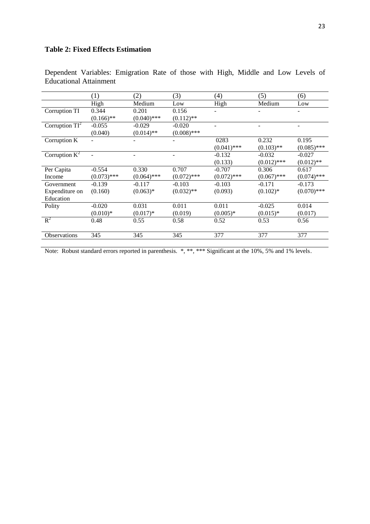## **Table 2: Fixed Effects Estimation**

|                   | (1)           | (2)           | (3)                          | (4)           | (5)           | (6)           |
|-------------------|---------------|---------------|------------------------------|---------------|---------------|---------------|
|                   | High          | Medium        | Low                          | High          | Medium        | Low           |
| Corruption TI     | 0.344         | 0.201         | 0.156                        |               |               |               |
|                   | $(0.166)$ **  | $(0.040)$ *** | $(0.112)$ **                 |               |               |               |
| Corruption $TI^2$ | $-0.055$      | $-0.029$      | $-0.020$                     |               |               |               |
|                   | (0.040)       | $(0.014)$ **  | $(0.008)$ ***                |               |               |               |
| Corruption K      |               |               | ٠                            | 0283          | 0.232         | 0.195         |
|                   |               |               |                              | $(0.041)$ *** | $(0.103)$ **  | $(0.085)$ *** |
| Corruption $K^2$  |               |               | $\qquad \qquad \blacksquare$ | $-0.132$      | $-0.032$      | $-0.027$      |
|                   |               |               |                              | (0.133)       | $(0.012)$ *** | $(0.012)$ **  |
| Per Capita        | $-0.554$      | 0.330         | 0.707                        | $-0.707$      | 0.306         | 0.617         |
| Income            | $(0.073)$ *** | $(0.064)$ *** | $(0.072)$ ***                | $(0.072)$ *** | $(0.067)$ *** | $(0.074)$ *** |
| Government        | $-0.139$      | $-0.117$      | $-0.103$                     | $-0.103$      | $-0.171$      | $-0.173$      |
| Expenditure on    | (0.160)       | $(0.063)*$    | $(0.032)$ **                 | (0.093)       | $(0.102)$ *   | $(0.070)$ *** |
| Education         |               |               |                              |               |               |               |
| Polity            | $-0.020$      | 0.031         | 0.011                        | 0.011         | $-0.025$      | 0.014         |
|                   | $(0.010)*$    | $(0.017)*$    | (0.019)                      | $(0.005)*$    | $(0.015)^*$   | (0.017)       |
| $R^2$             | 0.48          | 0.55          | 0.58                         | 0.52          | 0.53          | 0.56          |
|                   |               |               |                              |               |               |               |
| Observations      | 345           | 345           | 345                          | 377           | 377           | 377           |

Dependent Variables: Emigration Rate of those with High, Middle and Low Levels of Educational Attainment

Note: Robust standard errors reported in parenthesis. \*, \*\*\* Significant at the 10%, 5% and 1% levels.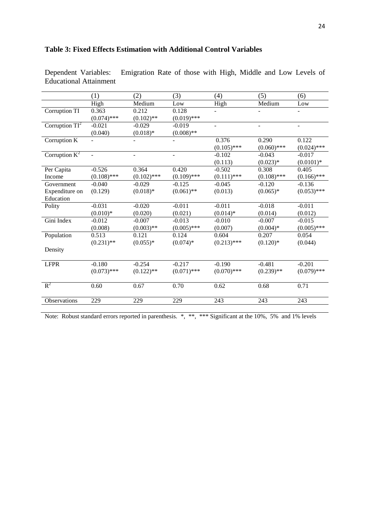|                                     | (1)            | (2)           | (3)                      | (4)           | (5)                      | (6)                      |
|-------------------------------------|----------------|---------------|--------------------------|---------------|--------------------------|--------------------------|
|                                     | High           | Medium        | $_{\text{Low}}$          | High          | Medium                   | $_{\rm Low}$             |
| Corruption TI                       | 0.363          | 0.212         | 0.128                    |               |                          | $\overline{\phantom{0}}$ |
|                                     | $(0.074)$ ***  | $(0.102)$ **  | $(0.019)$ ***            |               |                          |                          |
| Corruption $\overline{\text{TI}^2}$ | $-0.021$       | $-0.029$      | $-0.019$                 | ÷,            | $\overline{\phantom{a}}$ | $\overline{\phantom{0}}$ |
|                                     | (0.040)        | $(0.018)*$    | $(0.008)$ **             |               |                          |                          |
| Corruption K                        |                |               |                          | 0.376         | 0.290                    | 0.122                    |
|                                     |                |               |                          | $(0.105)$ *** | $(0.060)$ ***            | $(0.024)$ ***            |
| Corruption $K^2$                    | $\overline{a}$ | ÷             | $\overline{\phantom{0}}$ | $-0.102$      | $-0.043$                 | $-0.017$                 |
|                                     |                |               |                          | (0.113)       | $(0.023)*$               | $(0.0101)*$              |
| Per Capita                          | $-0.526$       | 0.364         | 0.420                    | $-0.502$      | 0.308                    | 0.405                    |
| Income                              | $(0.108)$ ***  | $(0.102)$ *** | $(0.109)$ ***            | $(0.111)$ *** | $(0.108)$ ***            | $(0.166)$ ***            |
| Government                          | $-0.040$       | $-0.029$      | $-0.125$                 | $-0.045$      | $-0.120$                 | $-0.136$                 |
| Expenditure on                      | (0.129)        | $(0.018)*$    | $(0.061)$ **             | (0.013)       | $(0.065)*$               | $(0.053)$ ***            |
| Education                           |                |               |                          |               |                          |                          |
| Polity                              | $-0.031$       | $-0.020$      | $-0.011$                 | $-0.011$      | $-0.018$                 | $-0.011$                 |
|                                     | $(0.010)*$     | (0.020)       | (0.021)                  | $(0.014)*$    | (0.014)                  | (0.012)                  |
| Gini Index                          | $-0.012$       | $-0.007$      | $-0.013$                 | $-0.010$      | $-0.007$                 | $-0.015$                 |
|                                     | (0.008)        | $(0.003)$ **  | $(0.005)$ ***            | (0.007)       | $(0.004)$ *              | $(0.005)$ ***            |
| Population                          | 0.513          | 0.121         | 0.124                    | 0.604         | 0.207                    | 0.054                    |
|                                     | $(0.231)$ **   | $(0.055)*$    | $(0.074)*$               | $(0.213)$ *** | $(0.120)*$               | (0.044)                  |
| Density                             |                |               |                          |               |                          |                          |
|                                     |                |               |                          |               |                          |                          |
| <b>LFPR</b>                         | $-0.180$       | $-0.254$      | $-0.217$                 | $-0.190$      | $-0.481$                 | $-0.201$                 |
|                                     | $(0.073)$ ***  | $(0.122)$ **  | $(0.071)$ ***            | $(0.070)$ *** | $(0.239)$ **             | $(0.079)$ ***            |
|                                     |                |               |                          |               |                          |                          |
| $R^2$                               | 0.60           | 0.67          | 0.70                     | 0.62          | 0.68                     | 0.71                     |
|                                     |                |               |                          |               |                          |                          |
| Observations                        | 229            | 229           | 229                      | 243           | 243                      | 243                      |

## **Table 3: Fixed Effects Estimation with Additional Control Variables**

Emigration Rate of those with High, Middle and Low Levels of Dependent Variables:<br>Educational Attainment

Note: Robust standard errors reported in parenthesis. \*, \*\*, \*\*\* Significant at the 10%, 5% and 1% levels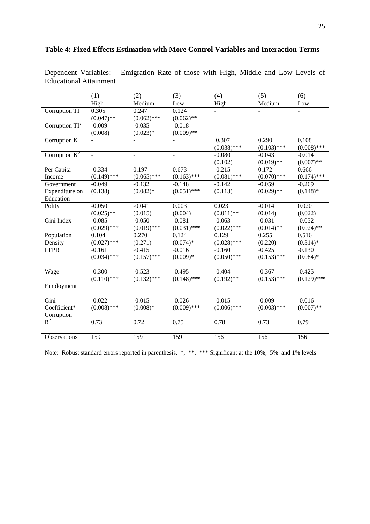|                   | (1)           | (2)                      | (3)                      | (4)           | (5)           | (6)           |
|-------------------|---------------|--------------------------|--------------------------|---------------|---------------|---------------|
|                   | High          | Medium                   | Low                      | High          | Medium        | Low           |
| Corruption TI     | 0.305         | 0.247                    | 0.124                    |               |               |               |
|                   | $(0.047)$ **  | $(0.062)$ ***            | $(0.062)$ **             |               |               |               |
| Corruption $TI^2$ | $-0.009$      | $-0.035$                 | $-0.018$                 |               |               |               |
|                   | (0.008)       | $(0.023)*$               | $(0.009)$ **             |               |               |               |
| Corruption K      |               |                          |                          | 0.307         | 0.290         | 0.108         |
|                   |               |                          |                          | $(0.038)$ *** | $(0.103)$ *** | $(0.008)$ *** |
| Corruption $K^2$  |               | $\overline{\phantom{a}}$ | $\overline{\phantom{a}}$ | $-0.080$      | $-0.043$      | $-0.014$      |
|                   |               |                          |                          | (0.102)       | $(0.019)$ **  | $(0.007)$ **  |
| Per Capita        | $-0.334$      | 0.197                    | 0.673                    | $-0.215$      | 0.172         | 0.666         |
| Income            | $(0.149)$ *** | $(0.065)$ ***            | $(0.163)$ ***            | $(0.081)$ *** | $(0.070)$ *** | $(0.174)$ *** |
| Government        | $-0.049$      | $-0.132$                 | $-0.148$                 | $-0.142$      | $-0.059$      | $-0.269$      |
| Expenditure on    | (0.138)       | $(0.082)$ *              | $(0.051)$ ***            | (0.113)       | $(0.029)$ **  | $(0.148)$ *   |
| Education         |               |                          |                          |               |               |               |
| Polity            | $-0.050$      | $-0.041$                 | 0.003                    | 0.023         | $-0.014$      | 0.020         |
|                   | $(0.025)$ **  | (0.015)                  | (0.004)                  | $(0.011)$ **  | (0.014)       | (0.022)       |
| Gini Index        | $-0.085$      | $-0.050$                 | $-0.081$                 | $-0.063$      | $-0.031$      | $-0.052$      |
|                   | $(0.029)$ *** | $(0.019)$ ***            | $(0.031)$ ***            | $(0.022)$ *** | $(0.014)$ **  | $(0.024)$ **  |
| Population        | 0.104         | 0.270                    | 0.124                    | 0.129         | 0.255         | 0.516         |
| Density           | $(0.027)$ *** | (0.271)                  | $(0.074)*$               | $(0.028)$ *** | (0.220)       | $(0.314)*$    |
| <b>LFPR</b>       | $-0.161$      | $-0.415$                 | $-0.016$                 | $-0.160$      | $-0.425$      | $-0.130$      |
|                   | $(0.034)$ *** | $(0.157)$ ***            | $(0.009)*$               | $(0.050)$ *** | $(0.153)$ *** | $(0.084)*$    |
|                   |               |                          |                          |               |               |               |
| Wage              | $-0.300$      | $-0.523$                 | $-0.495$                 | $-0.404$      | $-0.367$      | $-0.425$      |
|                   | $(0.110)$ *** | $(0.132)$ ***            | $(0.148)$ ***            | $(0.192)$ **  | $(0.153)$ *** | $(0.129)$ *** |
| Employment        |               |                          |                          |               |               |               |
|                   |               |                          |                          |               |               |               |
| Gini              | $-0.022$      | $-0.015$                 | $-0.026$                 | $-0.015$      | $-0.009$      | $-0.016$      |
| Coefficient*      | $(0.008)$ *** | $(0.008)*$               | $(0.009)$ ***            | $(0.006)$ *** | $(0.003)$ *** | $(0.007)$ **  |
| Corruption        |               |                          |                          |               |               |               |
| $R^2$             | 0.73          | 0.72                     | 0.75                     | 0.78          | 0.73          | 0.79          |
| Observations      | 159           | 159                      | 159                      | 156           | 156           | 156           |
|                   |               |                          |                          |               |               |               |

## **Table 4: Fixed Effects Estimation with More Control Variables and Interaction Terms**

Dependent Variables: Emigration Rate of those with High, Middle and Low Levels of Educational Attainment

Note: Robust standard errors reported in parenthesis. \*, \*\*, \*\*\* Significant at the 10%, 5% and 1% levels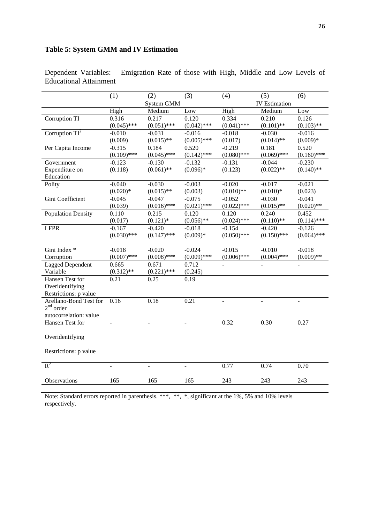## **Table 5: System GMM and IV Estimation**

|                           | (1)                      | (2)               | (3)                      | (4)              | (5)                  | (6)              |
|---------------------------|--------------------------|-------------------|--------------------------|------------------|----------------------|------------------|
|                           |                          | <b>System GMM</b> |                          |                  | <b>IV</b> Estimation |                  |
|                           | High                     | Medium            | Low                      | High             | Medium               | Low              |
| Corruption TI             | 0.316                    | 0.217             | 0.120                    | 0.334            | 0.210                | 0.126            |
|                           | $(0.045)$ ***            | $(0.051)$ ***     | $(0.042)$ ***            | $(0.041)$ ***    | $(0.101)$ **         | $(0.103)$ **     |
| Corruption $TI^2$         | $-0.010$                 | $-0.031$          | $-0.016$                 | $-0.018$         | $-0.030$             | $-0.016$         |
|                           | (0.009)                  | $(0.015)$ **      | $(0.005)$ ***            | (0.017)          | $(0.014)$ **         | $(0.009)*$       |
| Per Capita Income         | $-0.315$                 | 0.184             | 0.520                    | $-0.219$         | 0.181                | 0.520            |
|                           | $(0.109)$ ***            | $(0.045)$ ***     | $(0.142)$ ***            | $(0.080)$ ***    | $(0.069)$ ***        | $(0.160)$ ***    |
| Government                | $-0.123$                 | $-0.130$          | $-0.132$                 | $-0.131$         | $-0.044$             | $-0.230$         |
| Expenditure on            | (0.118)                  | $(0.061)$ **      | $(0.096)*$               | (0.123)          | $(0.022)$ **         | $(0.140)$ **     |
| Education                 |                          |                   |                          |                  |                      |                  |
| Polity                    | $-0.040$                 | $-0.030$          | $-0.003$                 | $-0.020$         | $-0.017$             | $-0.021$         |
|                           | $(0.020)*$               | $(0.015)$ **      | (0.003)                  | $(0.010)$ **     | $(0.010)*$           | (0.023)          |
| Gini Coefficient          | $-0.045$                 | $-0.047$          | $-0.075$                 | $-0.052$         | $-0.030$             | $-0.041$         |
|                           | (0.039)                  | $(0.016)$ ***     | $(0.021)$ ***            | $(0.022)$ ***    | $(0.015)$ **         | $(0.020)$ **     |
| <b>Population Density</b> | 0.110                    | 0.215             | 0.120                    | 0.120            | 0.240                | 0.452            |
|                           | (0.017)                  | $(0.121)$ *       | $(0.056)$ **             | $(0.024)$ ***    | $(0.110)$ **         | $(0.114)$ ***    |
| <b>LFPR</b>               | $-0.167$                 | $-0.420$          | $-0.018$                 | $-0.154$         | $-0.420$             | $-0.126$         |
|                           | $(0.030)$ ***            | $(0.147)$ ***     | $(0.009)*$               | $(0.050)$ ***    | $(0.150)$ ***        | $(0.064)$ ***    |
|                           |                          |                   |                          |                  |                      |                  |
| Gini Index *              | $-0.018$                 | $-0.020$          | $-0.024$                 | $-0.015$         | $-0.010$             | $-0.018$         |
| Corruption                | $(0.007)$ ***            | $(0.008)$ ***     | $(0.009)$ ***            | $(0.006)$ ***    | $(0.004)$ ***        | $(0.009)$ **     |
| Lagged Dependent          | 0.665                    | 0.671             | 0.712                    |                  |                      |                  |
| Variable                  | $(0.312)$ **             | $(0.221)$ ***     | (0.245)                  |                  |                      |                  |
| Hansen Test for           | 0.21                     | 0.25              | 0.19                     |                  |                      |                  |
| Overidentifying           |                          |                   |                          |                  |                      |                  |
| Restrictions: p value     |                          |                   |                          |                  |                      |                  |
| Arellano-Bond Test for    | 0.16                     | 0.18              | 0.21                     | $\equiv$         | $\overline{a}$       | $\overline{a}$   |
| $2nd$ order               |                          |                   |                          |                  |                      |                  |
| autocorrelation: value    |                          |                   |                          |                  |                      |                  |
| Hansen Test for           | $\overline{\phantom{a}}$ | ÷,                | $\overline{\phantom{a}}$ | 0.32             | 0.30                 | 0.27             |
|                           |                          |                   |                          |                  |                      |                  |
| Overidentifying           |                          |                   |                          |                  |                      |                  |
|                           |                          |                   |                          |                  |                      |                  |
| Restrictions: p value     |                          |                   |                          |                  |                      |                  |
|                           |                          |                   |                          |                  |                      |                  |
| $R^2$                     |                          |                   |                          | 0.77             | 0.74                 | 0.70             |
|                           |                          |                   |                          |                  |                      |                  |
| Observations              | 165                      | 165               | 165                      | $\overline{243}$ | 243                  | $\overline{243}$ |
|                           |                          |                   |                          |                  |                      |                  |

Emigration Rate of those with High, Middle and Low Levels of Dependent Variables:<br>Educational Attainment

Note: Standard errors reported in parenthesis. \*\*\*, \*\*, \*, significant at the 1%, 5% and 10% levels respectively.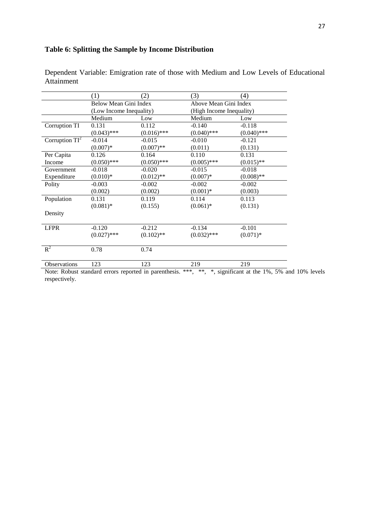## **Table 6: Splitting the Sample by Income Distribution**

|                   | (1)                                              | 2)            | (3)                      | $\left(4\right)$ |
|-------------------|--------------------------------------------------|---------------|--------------------------|------------------|
|                   | Below Mean Gini Index<br>(Low Income Inequality) |               | Above Mean Gini Index    |                  |
|                   |                                                  |               | (High Income Inequality) |                  |
|                   | Medium                                           | Low           | Medium                   | Low              |
| Corruption TI     | 0.131                                            | 0.112         | $-0.140$                 | $-0.118$         |
|                   | $(0.043)$ ***                                    | $(0.016)$ *** | $(0.040)$ ***            | $(0.040)$ ***    |
| Corruption $TI^2$ | $-0.014$                                         | $-0.015$      | $-0.010$                 | $-0.121$         |
|                   | $(0.007)*$                                       | $(0.007)$ **  | (0.011)                  | (0.131)          |
| Per Capita        | 0.126                                            | 0.164         | 0.110                    | 0.131            |
| Income            | $(0.050)$ ***                                    | $(0.050)$ *** | $(0.005)$ ***            | $(0.015)$ **     |
| Government        | $-0.018$                                         | $-0.020$      | $-0.015$                 | $-0.018$         |
| Expenditure       | $(0.010)*$                                       | $(0.012)$ **  | $(0.007)*$               | $(0.008)$ **     |
| Polity            | $-0.003$                                         | $-0.002$      | $-0.002$                 | $-0.002$         |
|                   | (0.002)                                          | (0.002)       | $(0.001)*$               | (0.003)          |
| Population        | 0.131                                            | 0.119         | 0.114                    | 0.113            |
|                   | $(0.081)$ *                                      | (0.155)       | $(0.061)$ *              | (0.131)          |
| Density           |                                                  |               |                          |                  |
|                   |                                                  |               |                          |                  |
| <b>LFPR</b>       | $-0.120$                                         | $-0.212$      | $-0.134$                 | $-0.101$         |
|                   | $(0.027)$ ***                                    | $(0.102)$ **  | $(0.032)$ ***            | $(0.071)$ *      |
| $R^2$             | 0.78                                             | 0.74          |                          |                  |
| Observations      | 123                                              | 123           | 219                      | 219              |

Dependent Variable: Emigration rate of those with Medium and Low Levels of Educational Attainment

Note: Robust standard errors reported in parenthesis. \*\*\*, \*\*, \$, significant at the 1%, 5% and 10% levels respectively.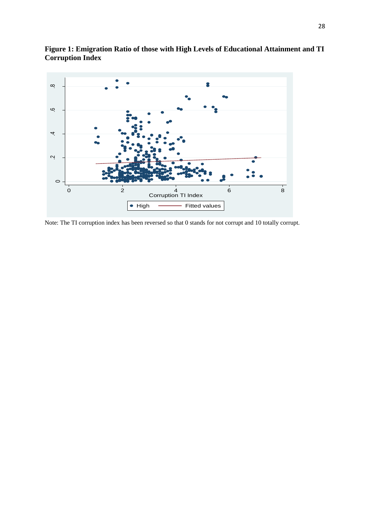

**Figure 1: Emigration Ratio of those with High Levels of Educational Attainment and TI Corruption Index**

Note: The TI corruption index has been reversed so that 0 stands for not corrupt and 10 totally corrupt.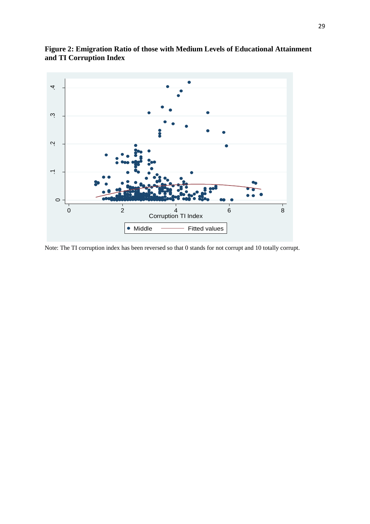

**Figure 2: Emigration Ratio of those with Medium Levels of Educational Attainment and TI Corruption Index**

Note: The TI corruption index has been reversed so that 0 stands for not corrupt and 10 totally corrupt.